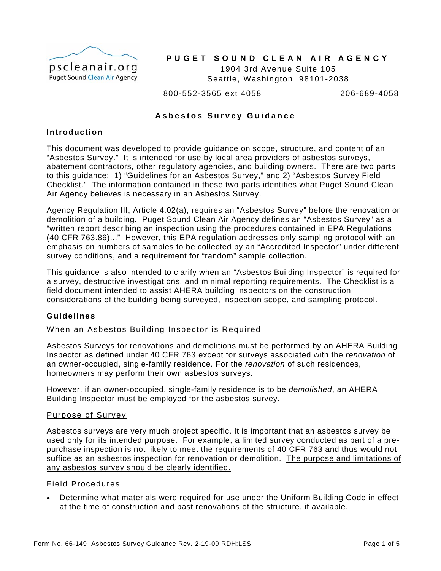

## PUGET SOUND CLEAN AIR AGENCY

Seattle, Washington 98101-2038 1904 3rd Avenue Suite 105

800-552-3565 ext 4058 206-689-4058

## **Asbestos Survey Guidance**

## **Introduction**

This document was developed to provide guidance on scope, structure, and content of an "Asbestos Survey." It is intended for use by local area providers of asbestos surveys, abatement contractors, other regulatory agencies, and building owners. There are two parts to this guidance: 1) "Guidelines for an Asbestos Survey," and 2) "Asbestos Survey Field Checklist." The information contained in these two parts id entifies what Puget Sound Clean Air Agency believes is necessary in an Asbestos Survey.

Agency Regulation III, Article 4.02(a), requires an "Asbestos Survey" before the renovation or emphasis on numbers of samples to be collected by an "Accredited Inspector" under different survey conditions, and a requirement for "random" sample collection. demolition of a building. Puget Sound Clean Air Agency defines an "Asbestos Survey" as a "written report describing an inspection using the procedures contained in EPA Regulations (40 CFR 763.86)..." However, this EPA regulation addresses only sampling protocol with an

a survey, destructive investigations, and minimal reporting requirements. The Checklist is a considerations of the building being surveyed, inspection scope, and sampling protocol. This guidance is also intended to clarify when an "Asbestos Building Inspector" is required for field document intended to assist AHERA building inspectors on the construction

## **Guidelines**

## When an Asbestos Building Inspector is Required

Inspector as defined under 40 CFR 763 except for surveys associated with the *renovation* of an owner-occupied, single-family residence. For the *renovation* of such residences, homeowners may perform their own asbestos surveys. Asbestos Surveys for renovations and demolitions must be performed by an AHERA Building

However, if an owner-occupied, single-family residence is to be *demolished*, an AHERA Building Inspector must be employed for the asbestos survey.

## Purpose of Survey

suffice as an asbestos inspection for renovation or demolition. The purpose and limitations of Asbestos surveys are very much project specific. It is important that an asbestos survey be used only for its intended purpose. For example, a limited survey conducted as part of a prepurchase inspection is not likely to meet the requirements of 40 CFR 763 and thus would not any asbestos survey should be clearly identified.

## Field Procedures

 Determine what materials were required for use under the Uniform Building Code in effect at the time of construction and past renovations of the structure, if available.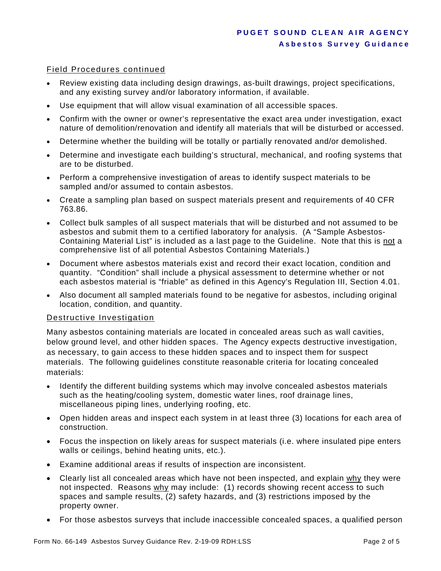## Field Procedures continued

- Review existing data including design drawings, as-built drawings, project specifications, and any existing survey and/or laboratory information, if available.
- Use equipment that will allow visual examination of all accessible spaces.
- Confirm with the owner or owner's representative the exact area under investigation, exact nature of demolition/renovation and identify all materials that will be disturbed or accessed.
- Determine whether the building will be totally or partially renovated and/or demolished.
- Determine and investigate each building's structural, mechanical, and roofing systems that are to be disturbed.
- Perform a comprehensive investigation of areas to identify suspect materials to be sampled and/or assumed to contain asbestos.
- Create a sampling plan based on suspect materials present and requirements of 40 CFR 763.86.
- Collect bulk samples of all suspect materials that will be disturbed and not assumed to be asbestos and submit them to a certified laboratory for analysis. (A "Sample Asbestos-Containing Material List" is included as a last page to the Guideline. Note that this is not a comprehensive list of all potential Asbestos Containing Materials.)
- Document where asbestos materials exist and record their exact location, condition and quantity. "Condition" shall include a physical assessment to determine whether or not each asbestos material is "friable" as defined in this Agency's Regulation III, Section 4.01.
- Also document all sampled materials found to be negative for asbestos, including original location, condition, and quantity.

## Destructive Investigation

Many asbestos containing materials are located in concealed areas such as wall cavities, below ground level, and other hidden spaces. The Agency expects destructive investigation, as necessary, to gain access to these hidden spaces and to inspect them for suspect materials. The following guidelines constitute reasonable criteria for locating concealed materials:

- Identify the different building systems which may involve concealed asbestos materials such as the heating/cooling system, domestic water lines, roof drainage lines, miscellaneous piping lines, underlying roofing, etc.
- Open hidden areas and inspect each system in at least three (3) locations for each area of construction.
- Focus the inspection on likely areas for suspect materials (i.e. where insulated pipe enters walls or ceilings, behind heating units, etc.).
- Examine additional areas if results of inspection are inconsistent.
- Clearly list all concealed areas which have not been inspected, and explain why they were not inspected. Reasons why may include: (1) records showing recent access to such spaces and sample results, (2) safety hazards, and (3) restrictions imposed by the property owner.
- For those asbestos surveys that include inaccessible concealed spaces, a qualified person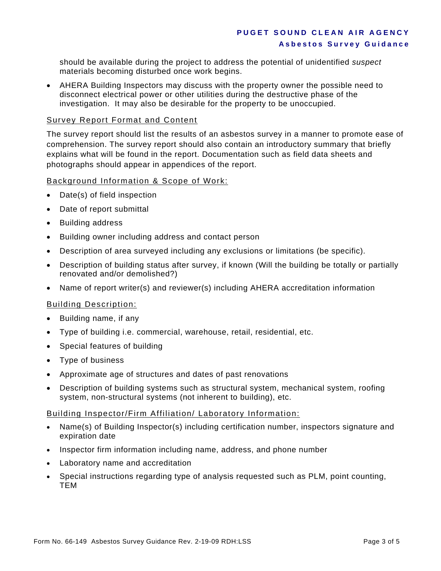should be available during the project to address the potential of unidentified *suspect* materials becoming disturbed once work begins.

 AHERA Building Inspectors may discuss with the property owner the possible need to disconnect electrical power or other utilities during the destructive phase of the investigation. It may also be desirable for the property to be unoccupied.

## Survey Report Format and Content

The survey report should list the results of an asbestos survey in a manner to promote ease of comprehension. The survey report should also contain an introductory summary that briefly explains what will be found in the report. Documentation such as field data sheets and photographs should appear in appendices of the report.

## Background Information & Scope of Work:

- Date(s) of field inspection
- Date of report submittal
- Building address
- Building owner including address and contact person
- Description of area surveyed including any exclusions or limitations (be specific).
- Description of building status after survey, if known (Will the building be totally or partially renovated and/or demolished?)
- Name of report writer(s) and reviewer(s) including AHERA accreditation information

## Building Description:

- Building name, if any
- Type of building i.e. commercial, warehouse, retail, residential, etc.
- Special features of building
- Type of business
- Approximate age of structures and dates of past renovations
- Description of building systems such as structural system, mechanical system, roofing system, non-structural systems (not inherent to building), etc.

## Building Inspector/Firm Affiliation/ Laboratory Information:

- Name(s) of Building Inspector(s) including certification number, inspectors signature and expiration date
- Inspector firm information including name, address, and phone number
- Laboratory name and accreditation
- Special instructions regarding type of analysis requested such as PLM, point counting, TEM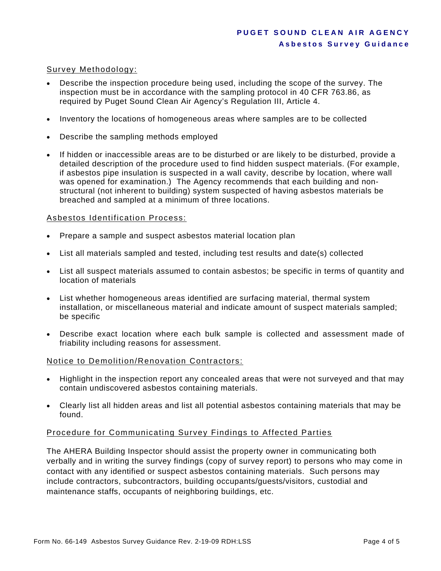## Survey Methodology:

- Describe the inspection procedure being used, including the scope of the survey. The inspection must be in accordance with the sampling protocol in 40 CFR 763.86, as required by Puget Sound Clean Air Agency's Regulation III, Article 4.
- Inventory the locations of homogeneous areas where samples are to be collected
- Describe the sampling methods employed
- If hidden or inaccessible areas are to be disturbed or are likely to be disturbed, provide a detailed description of the procedure used to find hidden suspect materials. (For example, if asbestos pipe insulation is suspected in a wall cavity, describe by location, where wall was opened for examination.) The Agency recommends that each building and nonstructural (not inherent to building) system suspected of having asbestos materials be breached and sampled at a minimum of three locations.

## Asbestos Identification Process:

- Prepare a sample and suspect asbestos material location plan
- List all materials sampled and tested, including test results and date(s) collected
- List all suspect materials assumed to contain asbestos; be specific in terms of quantity and location of materials
- List whether homogeneous areas identified are surfacing material, thermal system installation, or miscellaneous material and indicate amount of suspect materials sampled; be specific
- Describe exact location where each bulk sample is collected and assessment made of friability including reasons for assessment.

## Notice to Demolition/Renovation Contractors:

- Highlight in the inspection report any concealed areas that were not surveyed and that may contain undiscovered asbestos containing materials.
- Clearly list all hidden areas and list all potential asbestos containing materials that may be found.

## Procedure for Communicating Survey Findings to Affected Parties

The AHERA Building Inspector should assist the property owner in communicating both verbally and in writing the survey findings (copy of survey report) to persons who may come in contact with any identified or suspect asbestos containing materials. Such persons may include contractors, subcontractors, building occupants/guests/visitors, custodial and maintenance staffs, occupants of neighboring buildings, etc.